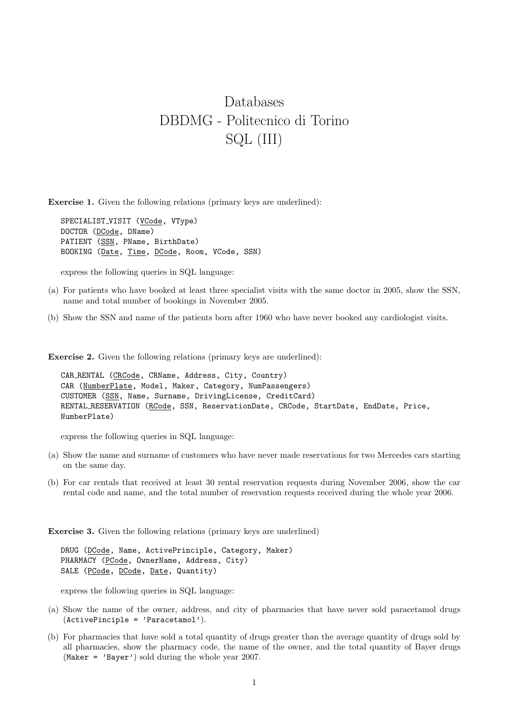## Databases DBDMG - Politecnico di Torino SQL (III)

Exercise 1. Given the following relations (primary keys are underlined):

SPECIALIST\_VISIT (VCode, VType) DOCTOR (DCode, DName) PATIENT (SSN, PName, BirthDate) BOOKING (Date, Time, DCode, Room, VCode, SSN)

express the following queries in SQL language:

- (a) For patients who have booked at least three specialist visits with the same doctor in 2005, show the SSN, name and total number of bookings in November 2005.
- (b) Show the SSN and name of the patients born after 1960 who have never booked any cardiologist visits.

Exercise 2. Given the following relations (primary keys are underlined):

```
CAR RENTAL (CRCode, CRName, Address, City, Country)
CAR (NumberPlate, Model, Maker, Category, NumPassengers)
CUSTOMER (SSN, Name, Surname, DrivingLicense, CreditCard)
RENTAL RESERVATION (RCode, SSN, ReservationDate, CRCode, StartDate, EndDate, Price,
NumberPlate)
```
express the following queries in SQL language:

- (a) Show the name and surname of customers who have never made reservations for two Mercedes cars starting on the same day.
- (b) For car rentals that received at least 30 rental reservation requests during November 2006, show the car rental code and name, and the total number of reservation requests received during the whole year 2006.

Exercise 3. Given the following relations (primary keys are underlined)

DRUG (DCode, Name, ActivePrinciple, Category, Maker) PHARMACY (PCode, OwnerName, Address, City) SALE (PCode, DCode, Date, Quantity)

express the following queries in SQL language:

- (a) Show the name of the owner, address, and city of pharmacies that have never sold paracetamol drugs  $(ActivePinciple = 'Paracetamol').$
- (b) For pharmacies that have sold a total quantity of drugs greater than the average quantity of drugs sold by all pharmacies, show the pharmacy code, the name of the owner, and the total quantity of Bayer drugs (Maker = 'Bayer') sold during the whole year 2007.